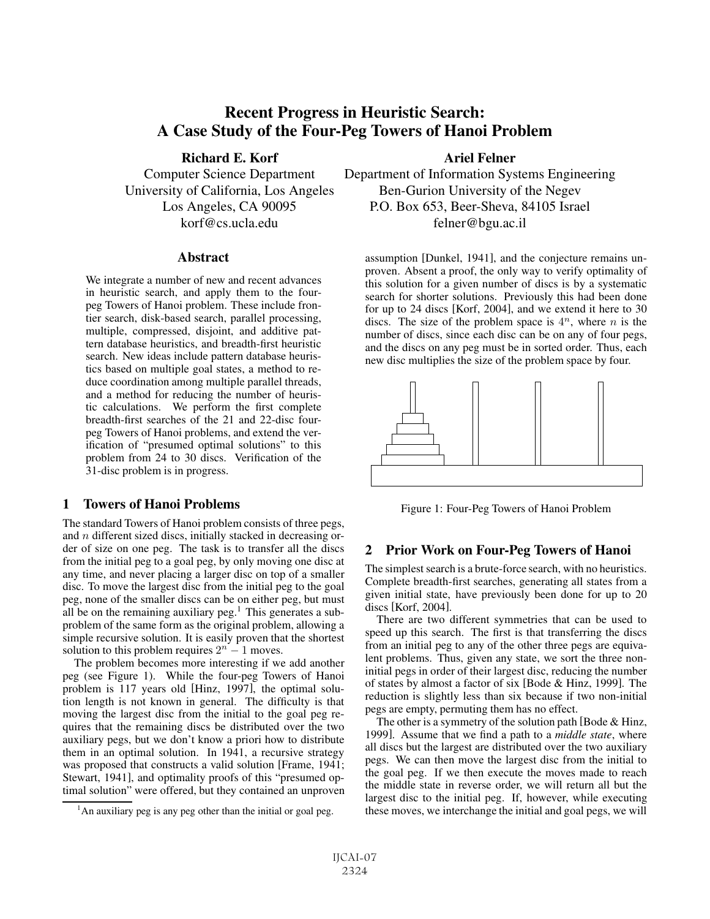# Recent Progress in Heuristic Search: A Case Study of the Four-Peg Towers of Hanoi Problem

Richard E. Korf

Computer Science Department University of California, Los Angeles Los Angeles, CA 90095 korf@cs.ucla.edu

#### **Abstract**

We integrate a number of new and recent advances in heuristic search, and apply them to the fourpeg Towers of Hanoi problem. These include frontier search, disk-based search, parallel processing, multiple, compressed, disjoint, and additive pattern database heuristics, and breadth-first heuristic search. New ideas include pattern database heuristics based on multiple goal states, a method to reduce coordination among multiple parallel threads, and a method for reducing the number of heuristic calculations. We perform the first complete breadth-first searches of the 21 and 22-disc fourpeg Towers of Hanoi problems, and extend the verification of "presumed optimal solutions" to this problem from 24 to 30 discs. Verification of the 31-disc problem is in progress.

### 1 Towers of Hanoi Problems

The standard Towers of Hanoi problem consists of three pegs, and n different sized discs, initially stacked in decreasing order of size on one peg. The task is to transfer all the discs from the initial peg to a goal peg, by only moving one disc at any time, and never placing a larger disc on top of a smaller disc. To move the largest disc from the initial peg to the goal peg, none of the smaller discs can be on either peg, but must all be on the remaining auxiliary  $peg.1$ . This generates a subproblem of the same form as the original problem, allowing a simple recursive solution. It is easily proven that the shortest solution to this problem requires  $2<sup>n</sup> - 1$  moves.

The problem becomes more interesting if we add another peg (see Figure 1). While the four-peg Towers of Hanoi problem is 117 years old [Hinz, 1997], the optimal solution length is not known in general. The difficulty is that moving the largest disc from the initial to the goal peg requires that the remaining discs be distributed over the two auxiliary pegs, but we don't know a priori how to distribute them in an optimal solution. In 1941, a recursive strategy was proposed that constructs a valid solution [Frame, 1941; Stewart, 1941], and optimality proofs of this "presumed optimal solution" were offered, but they contained an unproven

Ariel Felner

Department of Information Systems Engineering Ben-Gurion University of the Negev P.O. Box 653, Beer-Sheva, 84105 Israel felner@bgu.ac.il

assumption [Dunkel, 1941], and the conjecture remains unproven. Absent a proof, the only way to verify optimality of this solution for a given number of discs is by a systematic search for shorter solutions. Previously this had been done for up to 24 discs [Korf, 2004], and we extend it here to 30 discs. The size of the problem space is  $4^n$ , where n is the number of discs, since each disc can be on any of four pegs, and the discs on any peg must be in sorted order. Thus, each new disc multiplies the size of the problem space by four.



Figure 1: Four-Peg Towers of Hanoi Problem

#### 2 Prior Work on Four-Peg Towers of Hanoi

The simplest search is a brute-force search, with no heuristics. Complete breadth-first searches, generating all states from a given initial state, have previously been done for up to 20 discs [Korf, 2004].

There are two different symmetries that can be used to speed up this search. The first is that transferring the discs from an initial peg to any of the other three pegs are equivalent problems. Thus, given any state, we sort the three noninitial pegs in order of their largest disc, reducing the number of states by almost a factor of six [Bode & Hinz, 1999]. The reduction is slightly less than six because if two non-initial pegs are empty, permuting them has no effect.

The other is a symmetry of the solution path [Bode & Hinz, 1999]. Assume that we find a path to a *middle state*, where all discs but the largest are distributed over the two auxiliary pegs. We can then move the largest disc from the initial to the goal peg. If we then execute the moves made to reach the middle state in reverse order, we will return all but the largest disc to the initial peg. If, however, while executing these moves, we interchange the initial and goal pegs, we will

<sup>&</sup>lt;sup>1</sup>An auxiliary peg is any peg other than the initial or goal peg.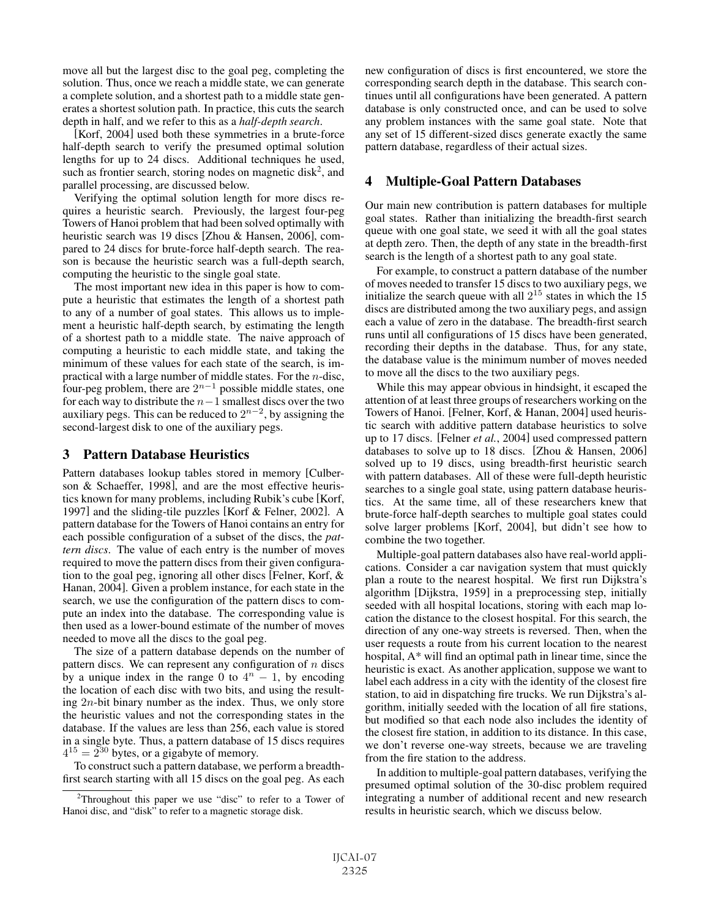move all but the largest disc to the goal peg, completing the solution. Thus, once we reach a middle state, we can generate a complete solution, and a shortest path to a middle state generates a shortest solution path. In practice, this cuts the search depth in half, and we refer to this as a *half-depth search*.

[Korf, 2004] used both these symmetries in a brute-force half-depth search to verify the presumed optimal solution lengths for up to 24 discs. Additional techniques he used, such as frontier search, storing nodes on magnetic disk<sup>2</sup>, and parallel processing, are discussed below.

Verifying the optimal solution length for more discs requires a heuristic search. Previously, the largest four-peg Towers of Hanoi problem that had been solved optimally with heuristic search was 19 discs [Zhou & Hansen, 2006], compared to 24 discs for brute-force half-depth search. The reason is because the heuristic search was a full-depth search, computing the heuristic to the single goal state.

The most important new idea in this paper is how to compute a heuristic that estimates the length of a shortest path to any of a number of goal states. This allows us to implement a heuristic half-depth search, by estimating the length of a shortest path to a middle state. The naive approach of computing a heuristic to each middle state, and taking the minimum of these values for each state of the search, is impractical with a large number of middle states. For the n-disc, four-peg problem, there are  $2^{n-1}$  possible middle states, one for each way to distribute the  $n-1$  smallest discs over the two auxiliary pegs. This can be reduced to  $2^{n-2}$ , by assigning the second-largest disk to one of the auxiliary pegs.

#### 3 Pattern Database Heuristics

Pattern databases lookup tables stored in memory [Culberson & Schaeffer, 1998], and are the most effective heuristics known for many problems, including Rubik's cube [Korf, 1997] and the sliding-tile puzzles [Korf & Felner, 2002]. A pattern database for the Towers of Hanoi contains an entry for each possible configuration of a subset of the discs, the *pattern discs*. The value of each entry is the number of moves required to move the pattern discs from their given configuration to the goal peg, ignoring all other discs [Felner, Korf, & Hanan, 2004]. Given a problem instance, for each state in the search, we use the configuration of the pattern discs to compute an index into the database. The corresponding value is then used as a lower-bound estimate of the number of moves needed to move all the discs to the goal peg.

The size of a pattern database depends on the number of pattern discs. We can represent any configuration of  $n$  discs by a unique index in the range 0 to  $4^n - 1$ , by encoding the location of each disc with two bits, and using the resulting 2n-bit binary number as the index. Thus, we only store the heuristic values and not the corresponding states in the database. If the values are less than 256, each value is stored in a single byte. Thus, a pattern database of 15 discs requires  $4^{15} = 2^{30}$  bytes, or a gigabyte of memory.

To construct such a pattern database, we perform a breadthfirst search starting with all 15 discs on the goal peg. As each new configuration of discs is first encountered, we store the corresponding search depth in the database. This search continues until all configurations have been generated. A pattern database is only constructed once, and can be used to solve any problem instances with the same goal state. Note that any set of 15 different-sized discs generate exactly the same pattern database, regardless of their actual sizes.

### 4 Multiple-Goal Pattern Databases

Our main new contribution is pattern databases for multiple goal states. Rather than initializing the breadth-first search queue with one goal state, we seed it with all the goal states at depth zero. Then, the depth of any state in the breadth-first search is the length of a shortest path to any goal state.

For example, to construct a pattern database of the number of moves needed to transfer 15 discs to two auxiliary pegs, we initialize the search queue with all  $2^{15}$  states in which the 15 discs are distributed among the two auxiliary pegs, and assign each a value of zero in the database. The breadth-first search runs until all configurations of 15 discs have been generated, recording their depths in the database. Thus, for any state, the database value is the minimum number of moves needed to move all the discs to the two auxiliary pegs.

While this may appear obvious in hindsight, it escaped the attention of at least three groups of researchers working on the Towers of Hanoi. [Felner, Korf, & Hanan, 2004] used heuristic search with additive pattern database heuristics to solve up to 17 discs. [Felner *et al.*, 2004] used compressed pattern databases to solve up to 18 discs. [Zhou & Hansen, 2006] solved up to 19 discs, using breadth-first heuristic search with pattern databases. All of these were full-depth heuristic searches to a single goal state, using pattern database heuristics. At the same time, all of these researchers knew that brute-force half-depth searches to multiple goal states could solve larger problems [Korf, 2004], but didn't see how to combine the two together.

Multiple-goal pattern databases also have real-world applications. Consider a car navigation system that must quickly plan a route to the nearest hospital. We first run Dijkstra's algorithm [Dijkstra, 1959] in a preprocessing step, initially seeded with all hospital locations, storing with each map location the distance to the closest hospital. For this search, the direction of any one-way streets is reversed. Then, when the user requests a route from his current location to the nearest hospital, A\* will find an optimal path in linear time, since the heuristic is exact. As another application, suppose we want to label each address in a city with the identity of the closest fire station, to aid in dispatching fire trucks. We run Dijkstra's algorithm, initially seeded with the location of all fire stations, but modified so that each node also includes the identity of the closest fire station, in addition to its distance. In this case, we don't reverse one-way streets, because we are traveling from the fire station to the address.

In addition to multiple-goal pattern databases, verifying the presumed optimal solution of the 30-disc problem required integrating a number of additional recent and new research results in heuristic search, which we discuss below.

<sup>&</sup>lt;sup>2</sup>Throughout this paper we use "disc" to refer to a Tower of Hanoi disc, and "disk" to refer to a magnetic storage disk.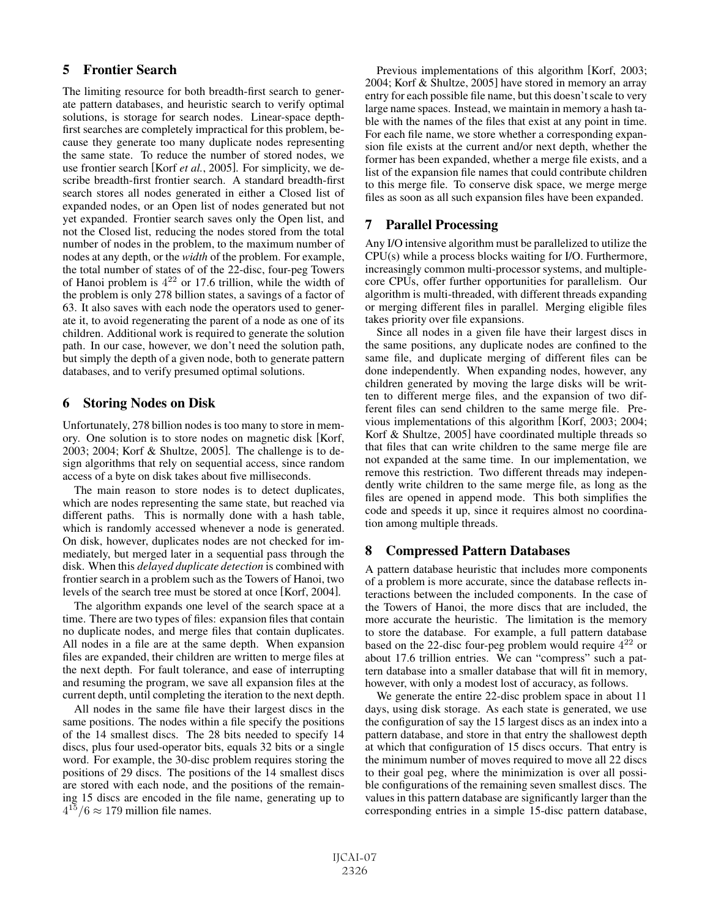# 5 Frontier Search

The limiting resource for both breadth-first search to generate pattern databases, and heuristic search to verify optimal solutions, is storage for search nodes. Linear-space depthfirst searches are completely impractical for this problem, because they generate too many duplicate nodes representing the same state. To reduce the number of stored nodes, we use frontier search [Korf *et al.*, 2005]. For simplicity, we describe breadth-first frontier search. A standard breadth-first search stores all nodes generated in either a Closed list of expanded nodes, or an Open list of nodes generated but not yet expanded. Frontier search saves only the Open list, and not the Closed list, reducing the nodes stored from the total number of nodes in the problem, to the maximum number of nodes at any depth, or the *width* of the problem. For example, the total number of states of of the 22-disc, four-peg Towers of Hanoi problem is  $4^{22}$  or 17.6 trillion, while the width of the problem is only 278 billion states, a savings of a factor of 63. It also saves with each node the operators used to generate it, to avoid regenerating the parent of a node as one of its children. Additional work is required to generate the solution path. In our case, however, we don't need the solution path, but simply the depth of a given node, both to generate pattern databases, and to verify presumed optimal solutions.

### 6 Storing Nodes on Disk

Unfortunately, 278 billion nodes is too many to store in memory. One solution is to store nodes on magnetic disk [Korf, 2003; 2004; Korf & Shultze, 2005]. The challenge is to design algorithms that rely on sequential access, since random access of a byte on disk takes about five milliseconds.

The main reason to store nodes is to detect duplicates, which are nodes representing the same state, but reached via different paths. This is normally done with a hash table, which is randomly accessed whenever a node is generated. On disk, however, duplicates nodes are not checked for immediately, but merged later in a sequential pass through the disk. When this *delayed duplicate detection* is combined with frontier search in a problem such as the Towers of Hanoi, two levels of the search tree must be stored at once [Korf, 2004].

The algorithm expands one level of the search space at a time. There are two types of files: expansion files that contain no duplicate nodes, and merge files that contain duplicates. All nodes in a file are at the same depth. When expansion files are expanded, their children are written to merge files at the next depth. For fault tolerance, and ease of interrupting and resuming the program, we save all expansion files at the current depth, until completing the iteration to the next depth.

All nodes in the same file have their largest discs in the same positions. The nodes within a file specify the positions of the 14 smallest discs. The 28 bits needed to specify 14 discs, plus four used-operator bits, equals 32 bits or a single word. For example, the 30-disc problem requires storing the positions of 29 discs. The positions of the 14 smallest discs are stored with each node, and the positions of the remaining 15 discs are encoded in the file name, generating up to  $4^{15}/6 \approx 179$  million file names.

Previous implementations of this algorithm [Korf, 2003; 2004; Korf & Shultze, 2005] have stored in memory an array entry for each possible file name, but this doesn't scale to very large name spaces. Instead, we maintain in memory a hash table with the names of the files that exist at any point in time. For each file name, we store whether a corresponding expansion file exists at the current and/or next depth, whether the former has been expanded, whether a merge file exists, and a list of the expansion file names that could contribute children to this merge file. To conserve disk space, we merge merge files as soon as all such expansion files have been expanded.

### 7 Parallel Processing

Any I/O intensive algorithm must be parallelized to utilize the CPU(s) while a process blocks waiting for I/O. Furthermore, increasingly common multi-processor systems, and multiplecore CPUs, offer further opportunities for parallelism. Our algorithm is multi-threaded, with different threads expanding or merging different files in parallel. Merging eligible files takes priority over file expansions.

Since all nodes in a given file have their largest discs in the same positions, any duplicate nodes are confined to the same file, and duplicate merging of different files can be done independently. When expanding nodes, however, any children generated by moving the large disks will be written to different merge files, and the expansion of two different files can send children to the same merge file. Previous implementations of this algorithm [Korf, 2003; 2004; Korf & Shultze, 2005] have coordinated multiple threads so that files that can write children to the same merge file are not expanded at the same time. In our implementation, we remove this restriction. Two different threads may independently write children to the same merge file, as long as the files are opened in append mode. This both simplifies the code and speeds it up, since it requires almost no coordination among multiple threads.

### 8 Compressed Pattern Databases

A pattern database heuristic that includes more components of a problem is more accurate, since the database reflects interactions between the included components. In the case of the Towers of Hanoi, the more discs that are included, the more accurate the heuristic. The limitation is the memory to store the database. For example, a full pattern database based on the 22-disc four-peg problem would require  $4^{22}$  or about 17.6 trillion entries. We can "compress" such a pattern database into a smaller database that will fit in memory, however, with only a modest lost of accuracy, as follows.

We generate the entire 22-disc problem space in about 11 days, using disk storage. As each state is generated, we use the configuration of say the 15 largest discs as an index into a pattern database, and store in that entry the shallowest depth at which that configuration of 15 discs occurs. That entry is the minimum number of moves required to move all 22 discs to their goal peg, where the minimization is over all possible configurations of the remaining seven smallest discs. The values in this pattern database are significantly larger than the corresponding entries in a simple 15-disc pattern database,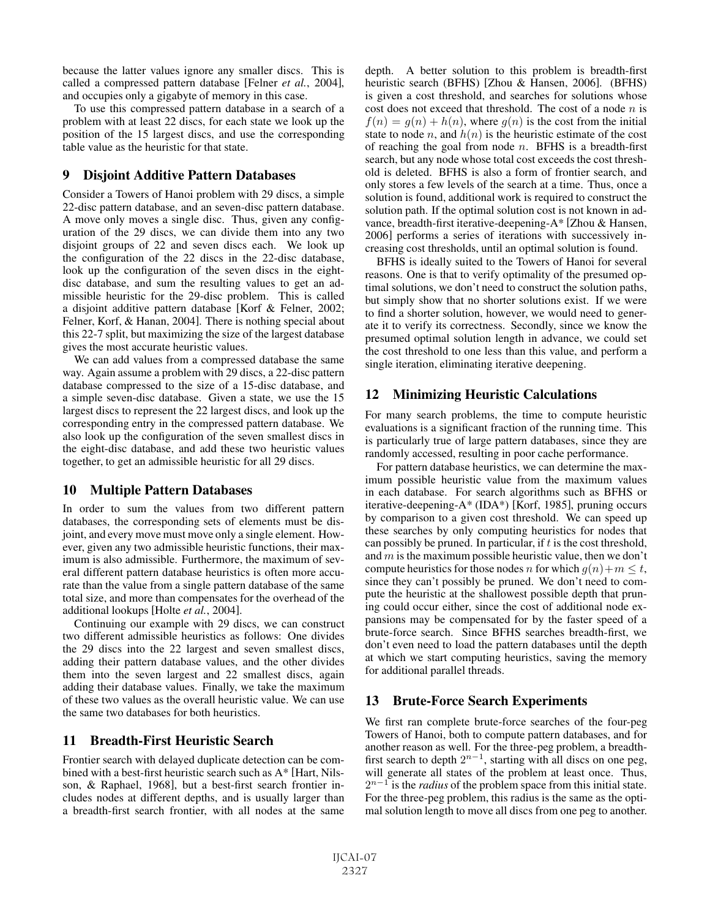because the latter values ignore any smaller discs. This is called a compressed pattern database [Felner *et al.*, 2004], and occupies only a gigabyte of memory in this case.

To use this compressed pattern database in a search of a problem with at least 22 discs, for each state we look up the position of the 15 largest discs, and use the corresponding table value as the heuristic for that state.

## 9 Disjoint Additive Pattern Databases

Consider a Towers of Hanoi problem with 29 discs, a simple 22-disc pattern database, and an seven-disc pattern database. A move only moves a single disc. Thus, given any configuration of the 29 discs, we can divide them into any two disjoint groups of 22 and seven discs each. We look up the configuration of the 22 discs in the 22-disc database, look up the configuration of the seven discs in the eightdisc database, and sum the resulting values to get an admissible heuristic for the 29-disc problem. This is called a disjoint additive pattern database [Korf & Felner, 2002; Felner, Korf, & Hanan, 2004]. There is nothing special about this 22-7 split, but maximizing the size of the largest database gives the most accurate heuristic values.

We can add values from a compressed database the same way. Again assume a problem with 29 discs, a 22-disc pattern database compressed to the size of a 15-disc database, and a simple seven-disc database. Given a state, we use the 15 largest discs to represent the 22 largest discs, and look up the corresponding entry in the compressed pattern database. We also look up the configuration of the seven smallest discs in the eight-disc database, and add these two heuristic values together, to get an admissible heuristic for all 29 discs.

# 10 Multiple Pattern Databases

In order to sum the values from two different pattern databases, the corresponding sets of elements must be disjoint, and every move must move only a single element. However, given any two admissible heuristic functions, their maximum is also admissible. Furthermore, the maximum of several different pattern database heuristics is often more accurate than the value from a single pattern database of the same total size, and more than compensates for the overhead of the additional lookups [Holte *et al.*, 2004].

Continuing our example with 29 discs, we can construct two different admissible heuristics as follows: One divides the 29 discs into the 22 largest and seven smallest discs, adding their pattern database values, and the other divides them into the seven largest and 22 smallest discs, again adding their database values. Finally, we take the maximum of these two values as the overall heuristic value. We can use the same two databases for both heuristics.

# 11 Breadth-First Heuristic Search

Frontier search with delayed duplicate detection can be combined with a best-first heuristic search such as A\* [Hart, Nilsson, & Raphael, 1968], but a best-first search frontier includes nodes at different depths, and is usually larger than a breadth-first search frontier, with all nodes at the same depth. A better solution to this problem is breadth-first heuristic search (BFHS) [Zhou & Hansen, 2006]. (BFHS) is given a cost threshold, and searches for solutions whose cost does not exceed that threshold. The cost of a node  $n$  is  $f(n) = g(n) + h(n)$ , where  $g(n)$  is the cost from the initial state to node n, and  $h(n)$  is the heuristic estimate of the cost of reaching the goal from node  $n$ . BFHS is a breadth-first search, but any node whose total cost exceeds the cost threshold is deleted. BFHS is also a form of frontier search, and only stores a few levels of the search at a time. Thus, once a solution is found, additional work is required to construct the solution path. If the optimal solution cost is not known in advance, breadth-first iterative-deepening-A\* [Zhou & Hansen, 2006] performs a series of iterations with successively increasing cost thresholds, until an optimal solution is found.

BFHS is ideally suited to the Towers of Hanoi for several reasons. One is that to verify optimality of the presumed optimal solutions, we don't need to construct the solution paths, but simply show that no shorter solutions exist. If we were to find a shorter solution, however, we would need to generate it to verify its correctness. Secondly, since we know the presumed optimal solution length in advance, we could set the cost threshold to one less than this value, and perform a single iteration, eliminating iterative deepening.

### 12 Minimizing Heuristic Calculations

For many search problems, the time to compute heuristic evaluations is a significant fraction of the running time. This is particularly true of large pattern databases, since they are randomly accessed, resulting in poor cache performance.

For pattern database heuristics, we can determine the maximum possible heuristic value from the maximum values in each database. For search algorithms such as BFHS or iterative-deepening-A\* (IDA\*) [Korf, 1985], pruning occurs by comparison to a given cost threshold. We can speed up these searches by only computing heuristics for nodes that can possibly be pruned. In particular, if  $t$  is the cost threshold, and  $m$  is the maximum possible heuristic value, then we don't compute heuristics for those nodes n for which  $g(n)+m \leq t$ , since they can't possibly be pruned. We don't need to compute the heuristic at the shallowest possible depth that pruning could occur either, since the cost of additional node expansions may be compensated for by the faster speed of a brute-force search. Since BFHS searches breadth-first, we don't even need to load the pattern databases until the depth at which we start computing heuristics, saving the memory for additional parallel threads.

# 13 Brute-Force Search Experiments

We first ran complete brute-force searches of the four-peg Towers of Hanoi, both to compute pattern databases, and for another reason as well. For the three-peg problem, a breadthfirst search to depth  $2^{n-1}$ , starting with all discs on one peg, will generate all states of the problem at least once. Thus, 2<sup>n−1</sup> is the *radius* of the problem space from this initial state. For the three-peg problem, this radius is the same as the optimal solution length to move all discs from one peg to another.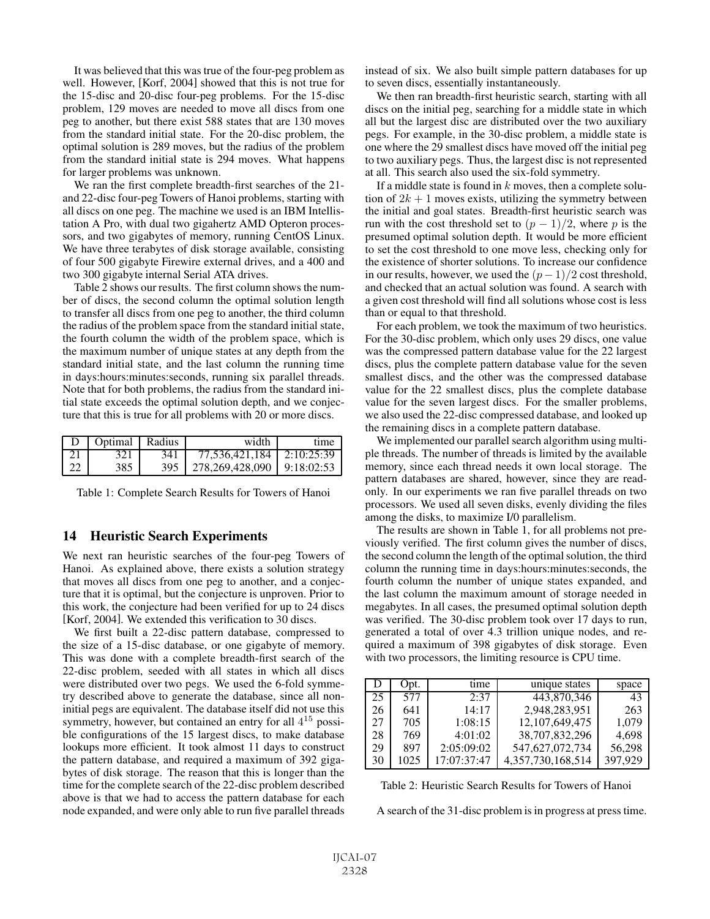It was believed that this was true of the four-peg problem as well. However, [Korf, 2004] showed that this is not true for the 15-disc and 20-disc four-peg problems. For the 15-disc problem, 129 moves are needed to move all discs from one peg to another, but there exist 588 states that are 130 moves from the standard initial state. For the 20-disc problem, the optimal solution is 289 moves, but the radius of the problem from the standard initial state is 294 moves. What happens for larger problems was unknown.

We ran the first complete breadth-first searches of the 21 and 22-disc four-peg Towers of Hanoi problems, starting with all discs on one peg. The machine we used is an IBM Intellistation A Pro, with dual two gigahertz AMD Opteron processors, and two gigabytes of memory, running CentOS Linux. We have three terabytes of disk storage available, consisting of four 500 gigabyte Firewire external drives, and a 400 and two 300 gigabyte internal Serial ATA drives.

Table 2 shows our results. The first column shows the number of discs, the second column the optimal solution length to transfer all discs from one peg to another, the third column the radius of the problem space from the standard initial state, the fourth column the width of the problem space, which is the maximum number of unique states at any depth from the standard initial state, and the last column the running time in days:hours:minutes:seconds, running six parallel threads. Note that for both problems, the radius from the standard initial state exceeds the optimal solution depth, and we conjecture that this is true for all problems with 20 or more discs.

|       | Optimal   Radius |     | width                              | time |
|-------|------------------|-----|------------------------------------|------|
| $-21$ | 321              | 341 | 77,536,421,184   2:10:25:39        |      |
| 22    | 385              |     | 395   278,269,428,090   9:18:02:53 |      |

Table 1: Complete Search Results for Towers of Hanoi

#### 14 Heuristic Search Experiments

We next ran heuristic searches of the four-peg Towers of Hanoi. As explained above, there exists a solution strategy that moves all discs from one peg to another, and a conjecture that it is optimal, but the conjecture is unproven. Prior to this work, the conjecture had been verified for up to 24 discs [Korf, 2004]. We extended this verification to 30 discs.

We first built a 22-disc pattern database, compressed to the size of a 15-disc database, or one gigabyte of memory. This was done with a complete breadth-first search of the 22-disc problem, seeded with all states in which all discs were distributed over two pegs. We used the 6-fold symmetry described above to generate the database, since all noninitial pegs are equivalent. The database itself did not use this symmetry, however, but contained an entry for all  $4^{15}$  possible configurations of the 15 largest discs, to make database lookups more efficient. It took almost 11 days to construct the pattern database, and required a maximum of 392 gigabytes of disk storage. The reason that this is longer than the time for the complete search of the 22-disc problem described above is that we had to access the pattern database for each node expanded, and were only able to run five parallel threads

instead of six. We also built simple pattern databases for up to seven discs, essentially instantaneously.

We then ran breadth-first heuristic search, starting with all discs on the initial peg, searching for a middle state in which all but the largest disc are distributed over the two auxiliary pegs. For example, in the 30-disc problem, a middle state is one where the 29 smallest discs have moved off the initial peg to two auxiliary pegs. Thus, the largest disc is not represented at all. This search also used the six-fold symmetry.

If a middle state is found in  $k$  moves, then a complete solution of  $2k + 1$  moves exists, utilizing the symmetry between the initial and goal states. Breadth-first heuristic search was run with the cost threshold set to  $(p-1)/2$ , where p is the presumed optimal solution depth. It would be more efficient to set the cost threshold to one move less, checking only for the existence of shorter solutions. To increase our confidence in our results, however, we used the  $(p-1)/2$  cost threshold, and checked that an actual solution was found. A search with a given cost threshold will find all solutions whose cost is less than or equal to that threshold.

For each problem, we took the maximum of two heuristics. For the 30-disc problem, which only uses 29 discs, one value was the compressed pattern database value for the 22 largest discs, plus the complete pattern database value for the seven smallest discs, and the other was the compressed database value for the 22 smallest discs, plus the complete database value for the seven largest discs. For the smaller problems, we also used the 22-disc compressed database, and looked up the remaining discs in a complete pattern database.

We implemented our parallel search algorithm using multiple threads. The number of threads is limited by the available memory, since each thread needs it own local storage. The pattern databases are shared, however, since they are readonly. In our experiments we ran five parallel threads on two processors. We used all seven disks, evenly dividing the files among the disks, to maximize I/0 parallelism.

The results are shown in Table 1, for all problems not previously verified. The first column gives the number of discs, the second column the length of the optimal solution, the third column the running time in days:hours:minutes:seconds, the fourth column the number of unique states expanded, and the last column the maximum amount of storage needed in megabytes. In all cases, the presumed optimal solution depth was verified. The 30-disc problem took over 17 days to run, generated a total of over 4.3 trillion unique nodes, and required a maximum of 398 gigabytes of disk storage. Even with two processors, the limiting resource is CPU time.

| Ð  | Opt. | time        | unique states     | space   |
|----|------|-------------|-------------------|---------|
| 25 | 577  | 2:37        | 443,870,346       | 43      |
| 26 | 641  | 14:17       | 2,948,283,951     | 263     |
| 27 | 705  | 1:08:15     | 12,107,649,475    | 1.079   |
| 28 | 769  | 4:01:02     | 38,707,832,296    | 4.698   |
| 29 | 897  | 2:05:09:02  | 547,627,072,734   | 56,298  |
| 30 | 1025 | 17:07:37:47 | 4,357,730,168,514 | 397.929 |

Table 2: Heuristic Search Results for Towers of Hanoi

A search of the 31-disc problem is in progress at press time.